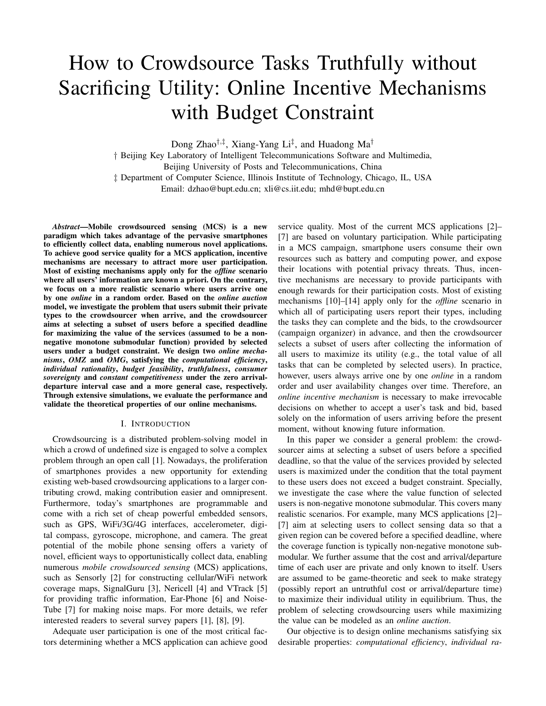# How to Crowdsource Tasks Truthfully without Sacrificing Utility: Online Incentive Mechanisms with Budget Constraint

Dong Zhao*†,‡* , Xiang-Yang Li*‡* , and Huadong Ma*†*

*†* Beijing Key Laboratory of Intelligent Telecommunications Software and Multimedia, Beijing University of Posts and Telecommunications, China *‡* Department of Computer Science, Illinois Institute of Technology, Chicago, IL, USA Email: dzhao@bupt.edu.cn; xli@cs.iit.edu; mhd@bupt.edu.cn

*Abstract*—Mobile crowdsourced sensing (MCS) is a new paradigm which takes advantage of the pervasive smartphones to efficiently collect data, enabling numerous novel applications. To achieve good service quality for a MCS application, incentive mechanisms are necessary to attract more user participation. Most of existing mechanisms apply only for the *offline* scenario where all users' information are known a priori. On the contrary, we focus on a more realistic scenario where users arrive one by one *online* in a random order. Based on the *online auction* model, we investigate the problem that users submit their private types to the crowdsourcer when arrive, and the crowdsourcer aims at selecting a subset of users before a specified deadline for maximizing the value of the services (assumed to be a nonnegative monotone submodular function) provided by selected users under a budget constraint. We design two *online mechanisms*, *OMZ* and *OMG*, satisfying the *computational efficiency*, *individual rationality*, *budget feasibility*, *truthfulness*, *consumer sovereignty* and *constant competitiveness* under the zero arrivaldeparture interval case and a more general case, respectively. Through extensive simulations, we evaluate the performance and validate the theoretical properties of our online mechanisms.

# I. INTRODUCTION

Crowdsourcing is a distributed problem-solving model in which a crowd of undefined size is engaged to solve a complex problem through an open call [1]. Nowadays, the proliferation of smartphones provides a new opportunity for extending existing web-based crowdsourcing applications to a larger contributing crowd, making contribution easier and omnipresent. Furthermore, today's smartphones are programmable and come with a rich set of cheap powerful embedded sensors, such as GPS, WiFi/3G/4G interfaces, accelerometer, digital compass, gyroscope, microphone, and camera. The great potential of the mobile phone sensing offers a variety of novel, efficient ways to opportunistically collect data, enabling numerous *mobile crowdsourced sensing* (MCS) applications, such as Sensorly [2] for constructing cellular/WiFi network coverage maps, SignalGuru [3], Nericell [4] and VTrack [5] for providing traffic information, Ear-Phone [6] and Noise-Tube [7] for making noise maps. For more details, we refer interested readers to several survey papers [1], [8], [9].

Adequate user participation is one of the most critical factors determining whether a MCS application can achieve good service quality. Most of the current MCS applications [2]– [7] are based on voluntary participation. While participating in a MCS campaign, smartphone users consume their own resources such as battery and computing power, and expose their locations with potential privacy threats. Thus, incentive mechanisms are necessary to provide participants with enough rewards for their participation costs. Most of existing mechanisms [10]–[14] apply only for the *offline* scenario in which all of participating users report their types, including the tasks they can complete and the bids, to the crowdsourcer (campaign organizer) in advance, and then the crowdsourcer selects a subset of users after collecting the information of all users to maximize its utility (e.g., the total value of all tasks that can be completed by selected users). In practice, however, users always arrive one by one *online* in a random order and user availability changes over time. Therefore, an *online incentive mechanism* is necessary to make irrevocable decisions on whether to accept a user's task and bid, based solely on the information of users arriving before the present moment, without knowing future information.

In this paper we consider a general problem: the crowdsourcer aims at selecting a subset of users before a specified deadline, so that the value of the services provided by selected users is maximized under the condition that the total payment to these users does not exceed a budget constraint. Specially, we investigate the case where the value function of selected users is non-negative monotone submodular. This covers many realistic scenarios. For example, many MCS applications [2]– [7] aim at selecting users to collect sensing data so that a given region can be covered before a specified deadline, where the coverage function is typically non-negative monotone submodular. We further assume that the cost and arrival/departure time of each user are private and only known to itself. Users are assumed to be game-theoretic and seek to make strategy (possibly report an untruthful cost or arrival/departure time) to maximize their individual utility in equilibrium. Thus, the problem of selecting crowdsourcing users while maximizing the value can be modeled as an *online auction*.

Our objective is to design online mechanisms satisfying six desirable properties: *computational efficiency*, *individual ra-*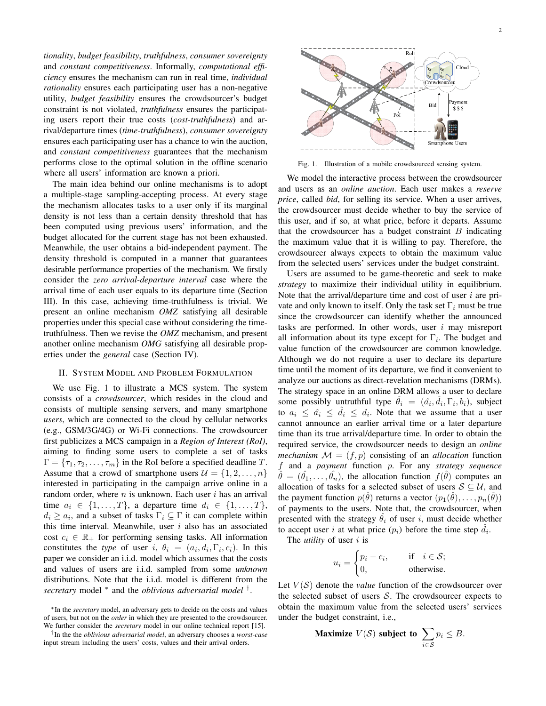*tionality*, *budget feasibility*, *truthfulness*, *consumer sovereignty* and *constant competitiveness*. Informally, *computational efficiency* ensures the mechanism can run in real time, *individual rationality* ensures each participating user has a non-negative utility, *budget feasibility* ensures the crowdsourcer's budget constraint is not violated, *truthfulness* ensures the participating users report their true costs (*cost-truthfulness*) and arrival/departure times (*time-truthfulness*), *consumer sovereignty* ensures each participating user has a chance to win the auction, and *constant competitiveness* guarantees that the mechanism performs close to the optimal solution in the offline scenario where all users' information are known a priori.

The main idea behind our online mechanisms is to adopt a multiple-stage sampling-accepting process. At every stage the mechanism allocates tasks to a user only if its marginal density is not less than a certain density threshold that has been computed using previous users' information, and the budget allocated for the current stage has not been exhausted. Meanwhile, the user obtains a bid-independent payment. The density threshold is computed in a manner that guarantees desirable performance properties of the mechanism. We firstly consider the *zero arrival-departure interval* case where the arrival time of each user equals to its departure time (Section III). In this case, achieving time-truthfulness is trivial. We present an online mechanism *OMZ* satisfying all desirable properties under this special case without considering the timetruthfulness. Then we revise the *OMZ* mechanism, and present another online mechanism *OMG* satisfying all desirable properties under the *general* case (Section IV).

## II. SYSTEM MODEL AND PROBLEM FORMULATION

We use Fig. 1 to illustrate a MCS system. The system consists of a *crowdsourcer*, which resides in the cloud and consists of multiple sensing servers, and many smartphone *users*, which are connected to the cloud by cellular networks (e.g., GSM/3G/4G) or Wi-Fi connections. The crowdsourcer first publicizes a MCS campaign in a *Region of Interest (RoI)*, aiming to finding some users to complete a set of tasks  $\Gamma = \{\tau_1, \tau_2, \ldots, \tau_m\}$  in the RoI before a specified deadline T. Assume that a crowd of smartphone users  $\mathcal{U} = \{1, 2, \ldots, n\}$ interested in participating in the campaign arrive online in a random order, where  $n$  is unknown. Each user  $i$  has an arrival time  $a_i \in \{1, \ldots, T\}$ , a departure time  $d_i \in \{1, \ldots, T\}$ ,  $d_i \geq a_i$ , and a subset of tasks  $\Gamma_i \subseteq \Gamma$  it can complete within this time interval. Meanwhile, user  $i$  also has an associated cost  $c_i \in \mathbb{R}_+$  for performing sensing tasks. All information constitutes the *type* of user i,  $\theta_i = (a_i, d_i, \Gamma_i, c_i)$ . In this paper we consider an i.i.d. model which assumes that the costs and values of users are i.i.d. sampled from some *unknown* distributions. Note that the i.i.d. model is different from the *secretary* model *<sup>∗</sup>* and the *oblivious adversarial model †* .

*†* In the the *oblivious adversarial model*, an adversary chooses a *worst-case* input stream including the users' costs, values and their arrival orders.

Sm artphone Users

Fig. 1. Illustration of a mobile crowdsourced sensing system.

We model the interactive process between the crowdsourcer and users as an *online auction*. Each user makes a *reserve price*, called *bid*, for selling its service. When a user arrives, the crowdsourcer must decide whether to buy the service of this user, and if so, at what price, before it departs. Assume that the crowdsourcer has a budget constraint  $B$  indicating the maximum value that it is willing to pay. Therefore, the crowdsourcer always expects to obtain the maximum value from the selected users' services under the budget constraint.

Users are assumed to be game-theoretic and seek to make *strategy* to maximize their individual utility in equilibrium. Note that the arrival/departure time and cost of user  $i$  are private and only known to itself. Only the task set  $\Gamma_i$  must be true since the crowdsourcer can identify whether the announced tasks are performed. In other words, user  $i$  may misreport all information about its type except for  $\Gamma_i$ . The budget and value function of the crowdsourcer are common knowledge. Although we do not require a user to declare its departure time until the moment of its departure, we find it convenient to analyze our auctions as direct-revelation mechanisms (DRMs). The strategy space in an online DRM allows a user to declare some possibly untruthful type  $\hat{\theta}_i = (\hat{a}_i, \hat{d}_i, \Gamma_i, b_i)$ , subject to  $a_i \leq \hat{a}_i \leq \hat{d}_i \leq d_i$ . Note that we assume that a user cannot announce an earlier arrival time or a later departure time than its true arrival/departure time. In order to obtain the required service, the crowdsourcer needs to design an *online mechanism*  $M = (f, p)$  consisting of an *allocation* function and a *payment* function . For any *strategy sequence*  $\hat{\theta} = (\hat{\theta}_1, \dots, \hat{\theta}_n)$ , the allocation function  $f(\hat{\theta})$  computes an allocation of tasks for a selected subset of users  $\mathcal{S} \subseteq \mathcal{U}$ , and the payment function  $p(\hat{\theta})$  returns a vector  $(p_1(\hat{\theta}), \ldots, p_n(\hat{\theta}))$ of payments to the users. Note that, the crowdsourcer, when presented with the strategy  $\theta_i$  of user i, must decide whether to accept user i at what price  $(p_i)$  before the time step  $\hat{d}_i$ .

The *utility* of user *i* is

$$
u_i = \begin{cases} p_i - c_i, & \text{if } i \in \mathcal{S}; \\ 0, & \text{otherwise.} \end{cases}
$$

Let  $V(S)$  denote the *value* function of the crowdsourcer over the selected subset of users  $S$ . The crowdsourcer expects to obtain the maximum value from the selected users' services under the budget constraint, i.e.,

**Maximize** 
$$
V(S)
$$
 **subject to**  $\sum_{i \in S} p_i \leq B$ .



*<sup>∗</sup>*In the *secretary* model, an adversary gets to decide on the costs and values of users, but not on the *order* in which they are presented to the crowdsourcer. We further consider the *secretary* model in our online technical report [15].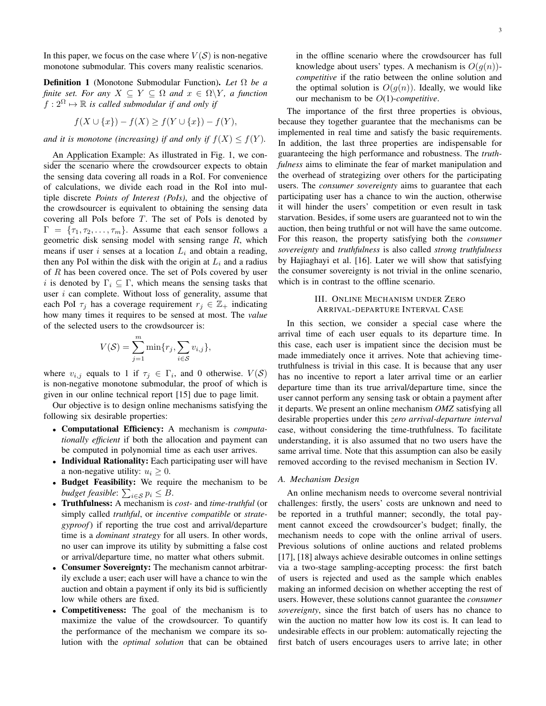In this paper, we focus on the case where  $V(S)$  is non-negative monotone submodular. This covers many realistic scenarios.

Definition 1 (Monotone Submodular Function). *Let* Ω *be a finite set. For any*  $X \subseteq Y \subseteq \Omega$  *and*  $x \in \Omega \backslash Y$ *, a function*  $f: 2^{\Omega} \mapsto \mathbb{R}$  *is called submodular if and only if* 

$$
f(X \cup \{x\}) - f(X) \ge f(Y \cup \{x\}) - f(Y),
$$

*and it is monotone (increasing) if and only if*  $f(X) \le f(Y)$ *.* 

An Application Example: As illustrated in Fig. 1, we consider the scenario where the crowdsourcer expects to obtain the sensing data covering all roads in a RoI. For convenience of calculations, we divide each road in the RoI into multiple discrete *Points of Interest (PoIs)*, and the objective of the crowdsourcer is equivalent to obtaining the sensing data covering all PoIs before  $T$ . The set of PoIs is denoted by  $\Gamma = {\tau_1, \tau_2, \ldots, \tau_m}$ . Assume that each sensor follows a geometric disk sensing model with sensing range  $R$ , which means if user i senses at a location  $L_i$  and obtain a reading, then any PoI within the disk with the origin at  $L_i$  and a radius of  $R$  has been covered once. The set of PoIs covered by user i is denoted by  $\Gamma_i \subseteq \Gamma$ , which means the sensing tasks that user  $i$  can complete. Without loss of generality, assume that each PoI  $\tau_i$  has a coverage requirement  $r_i \in \mathbb{Z}_+$  indicating how many times it requires to be sensed at most. The *value* of the selected users to the crowdsourcer is:

$$
V(S) = \sum_{j=1}^{m} \min\{r_j, \sum_{i \in S} v_{i,j}\},\
$$

where  $v_{i,j}$  equals to 1 if  $\tau_j \in \Gamma_i$ , and 0 otherwise.  $V(S)$ is non-negative monotone submodular, the proof of which is given in our online technical report [15] due to page limit.

Our objective is to design online mechanisms satisfying the following six desirable properties:

- *<sup>∙</sup>* Computational Efficiency: A mechanism is *computationally efficient* if both the allocation and payment can be computed in polynomial time as each user arrives.
- *<sup>∙</sup>* Individual Rationality: Each participating user will have a non-negative utility:  $u_i \geq 0$ .
- *<sup>∙</sup>* Budget Feasibility: We require the mechanism to be *budget feasible*:  $\sum_{i \in S} p_i \leq B$ .
- *<sup>∙</sup>* Truthfulness: A mechanism is *cost-* and *time-truthful* (or simply called *truthful*, or *incentive compatible* or *strategyproof*) if reporting the true cost and arrival/departure time is a *dominant strategy* for all users. In other words, no user can improve its utility by submitting a false cost or arrival/departure time, no matter what others submit.
- *<sup>∙</sup>* Consumer Sovereignty: The mechanism cannot arbitrarily exclude a user; each user will have a chance to win the auction and obtain a payment if only its bid is sufficiently low while others are fixed.
- *<sup>∙</sup>* Competitiveness: The goal of the mechanism is to maximize the value of the crowdsourcer. To quantify the performance of the mechanism we compare its solution with the *optimal solution* that can be obtained

The importance of the first three properties is obvious, because they together guarantee that the mechanisms can be implemented in real time and satisfy the basic requirements. In addition, the last three properties are indispensable for guaranteeing the high performance and robustness. The *truthfulness* aims to eliminate the fear of market manipulation and the overhead of strategizing over others for the participating users. The *consumer sovereignty* aims to guarantee that each participating user has a chance to win the auction, otherwise it will hinder the users' competition or even result in task starvation. Besides, if some users are guaranteed not to win the auction, then being truthful or not will have the same outcome. For this reason, the property satisfying both the *consumer sovereignty* and *truthfulness* is also called *strong truthfulness* by Hajiaghayi et al. [16]. Later we will show that satisfying the consumer sovereignty is not trivial in the online scenario, which is in contrast to the offline scenario.

# III. ONLINE MECHANISM UNDER ZERO ARRIVAL-DEPARTURE INTERVAL CASE

In this section, we consider a special case where the arrival time of each user equals to its departure time. In this case, each user is impatient since the decision must be made immediately once it arrives. Note that achieving timetruthfulness is trivial in this case. It is because that any user has no incentive to report a later arrival time or an earlier departure time than its true arrival/departure time, since the user cannot perform any sensing task or obtain a payment after it departs. We present an online mechanism *OMZ* satisfying all desirable properties under this *zero arrival-departure interval* case, without considering the time-truthfulness. To facilitate understanding, it is also assumed that no two users have the same arrival time. Note that this assumption can also be easily removed according to the revised mechanism in Section IV.

# *A. Mechanism Design*

An online mechanism needs to overcome several nontrivial challenges: firstly, the users' costs are unknown and need to be reported in a truthful manner; secondly, the total payment cannot exceed the crowdsourcer's budget; finally, the mechanism needs to cope with the online arrival of users. Previous solutions of online auctions and related problems [17], [18] always achieve desirable outcomes in online settings via a two-stage sampling-accepting process: the first batch of users is rejected and used as the sample which enables making an informed decision on whether accepting the rest of users. However, these solutions cannot guarantee the *consumer sovereignty*, since the first batch of users has no chance to win the auction no matter how low its cost is. It can lead to undesirable effects in our problem: automatically rejecting the first batch of users encourages users to arrive late; in other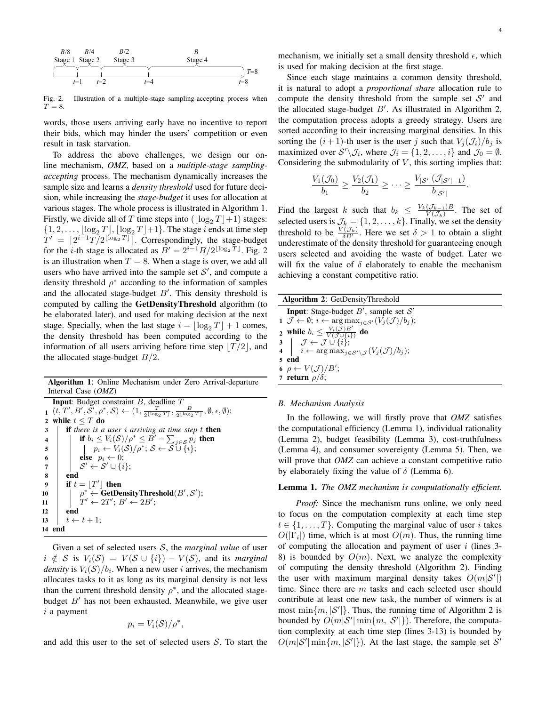

Illustration of a multiple-stage sampling-accepting process when Fig. 2.<br> $T = 8$ .

words, those users arriving early have no incentive to report their bids, which may hinder the users' competition or even result in task starvation.

To address the above challenges, we design our online mechanism, *OMZ*, based on a *multiple-stage samplingaccepting* process. The mechanism dynamically increases the sample size and learns a *density threshold* used for future decision, while increasing the *stage-budget* it uses for allocation at various stages. The whole process is illustrated in Algorithm 1. Firstly, we divide all of T time steps into  $(\log_2 T + 1)$  stages:  $\{1, 2, \ldots, \lfloor \log_2 T \rfloor, \lfloor \log_2 T \rfloor + 1\}.$  The stage *i* ends at time step  $T' = \lfloor 2^{i-1} T/2^{\lfloor \log_2 T \rfloor} \rfloor$ . Correspondingly, the stage-budget for the *i*-th stage is allocated as  $B' = 2^{i-1}B/2^{\lfloor \log_2 T \rfloor}$ . Fig. 2 is an illustration when  $T = 8$ . When a stage is over, we add all users who have arrived into the sample set  $S'$ , and compute a density threshold  $\rho^*$  according to the information of samples and the allocated stage-budget *B'*. This density threshold is computed by calling the GetDensityThreshold algorithm (to be elaborated later), and used for making decision at the next stage. Specially, when the last stage  $i = \lfloor \log_2 T \rfloor + 1$  comes, the density threshold has been computed according to the information of all users arriving before time step  $|T/2|$ , and the allocated stage-budget  $B/2$ .

Algorithm 1: Online Mechanism under Zero Arrival-departure Interval Case (*OMZ*)

|                  | <b>Input:</b> Budget constraint $B$ , deadline $T$                                                                                                                                         |  |  |  |
|------------------|--------------------------------------------------------------------------------------------------------------------------------------------------------------------------------------------|--|--|--|
|                  | $\mathbf{1} \; (t, T', B', \bar{S}', \rho^*, \mathcal{S}) \leftarrow (1, \frac{T}{2^{\lfloor \log_2 T \rfloor}}, \frac{B}{2^{\lfloor \log_2 T \rfloor}}, \emptyset, \epsilon, \emptyset);$ |  |  |  |
| $\overline{2}$   | while $t \leq T$ do                                                                                                                                                                        |  |  |  |
| 3                | <b>if</b> there is a user i arriving at time step t <b>then</b>                                                                                                                            |  |  |  |
| $\overline{4}$   | if $b_i \leq V_i(\mathcal{S})/\rho^* \leq B' - \sum_{j \in \mathcal{S}} p_j$ then                                                                                                          |  |  |  |
| $\overline{5}$   | $p_i \leftarrow V_i(\mathcal{S})/\rho^*; \, \mathcal{S} \leftarrow \mathcal{S} \cup \{i\};$                                                                                                |  |  |  |
| 6                | <b>else</b> $p_i \leftarrow 0$ ;                                                                                                                                                           |  |  |  |
| $\overline{7}$   | $\mathcal{S}' \leftarrow \mathcal{S}' \cup \{i\};$                                                                                                                                         |  |  |  |
| 8                | end                                                                                                                                                                                        |  |  |  |
| $\boldsymbol{9}$ | if $t =  T' $ then                                                                                                                                                                         |  |  |  |
| 10               | $\rho^* \leftarrow \textbf{GetDensityThreshold}(B', S');$                                                                                                                                  |  |  |  |
| 11               | $T' \leftarrow 2T'; B' \leftarrow 2B';$                                                                                                                                                    |  |  |  |
| 12               | end                                                                                                                                                                                        |  |  |  |
| 13               | $t \leftarrow t + 1$                                                                                                                                                                       |  |  |  |
| 14 end           |                                                                                                                                                                                            |  |  |  |

Given a set of selected users  $S$ , the *marginal value* of user  $i \notin S$  is  $V_i(S) = V(S \cup \{i\}) - V(S)$ , and its *marginal density* is  $V_i(\mathcal{S})/b_i$ . When a new user *i* arrives, the mechanism allocates tasks to it as long as its marginal density is not less than the current threshold density  $\rho^*$ , and the allocated stagebudget *B'* has not been exhausted. Meanwhile, we give user  $i$  a payment

$$
p_i = V_i(\mathcal{S})/\rho^*,
$$

and add this user to the set of selected users  $S$ . To start the

mechanism, we initially set a small density threshold  $\epsilon$ , which is used for making decision at the first stage.

Since each stage maintains a common density threshold, it is natural to adopt a *proportional share* allocation rule to compute the density threshold from the sample set  $S'$  and the allocated stage-budget *B'*. As illustrated in Algorithm 2, the computation process adopts a greedy strategy. Users are sorted according to their increasing marginal densities. In this sorting the  $(i + 1)$ -th user is the user j such that  $V_i(\mathcal{J}_i)/b_i$  is maximized over  $S' \setminus \mathcal{J}_i$ , where  $\mathcal{J}_i = \{1, 2, \ldots, i\}$  and  $\mathcal{J}_0 = \emptyset$ . Considering the submodularity of  $V$ , this sorting implies that:

$$
\frac{V_1(\mathcal{J}_0)}{b_1} \ge \frac{V_2(\mathcal{J}_1)}{b_2} \ge \cdots \ge \frac{V_{|\mathcal{S}'|}(\mathcal{J}_{|\mathcal{S}'|-1})}{b_{|\mathcal{S}'|}}.
$$

Find the largest k such that  $b_k \leq \frac{V_k(\mathcal{J}_{k-1})B}{V(\mathcal{J}_k)}$  $\frac{(\mathcal{J}_{k-1})B}{V(\mathcal{J}_k)}$ . The set of selected users is  $\mathcal{J}_k = \{1, 2, \dots, k\}$ . Finally, we set the density threshold to be  $\frac{V(\mathcal{J}_k)}{\delta B'}$ . Here we set  $\delta > 1$  to obtain a slight underestimate of the density threshold for guaranteeing enough users selected and avoiding the waste of budget. Later we will fix the value of  $\delta$  elaborately to enable the mechanism achieving a constant competitive ratio.

| <b>Algorithm 2: GetDensityThreshold</b>                                                                                                                                                                                                                          |  |  |
|------------------------------------------------------------------------------------------------------------------------------------------------------------------------------------------------------------------------------------------------------------------|--|--|
| <b>Input:</b> Stage-budget $B'$ , sample set $S'$                                                                                                                                                                                                                |  |  |
| 1 $\mathcal{J} \leftarrow \emptyset$ ; $i \leftarrow \arg \max_{j \in \mathcal{S}'} (V_j(\mathcal{J})/b_j);$                                                                                                                                                     |  |  |
| 2 while $b_i \leq \frac{V_i(\mathcal{J})B'}{V(\mathcal{J} \cup \{i\})}$ do                                                                                                                                                                                       |  |  |
| 3 $\left\{\n\begin{array}{l}\n\mathcal{J} \leftarrow \mathcal{J} \cup \{i\};\n\end{array}\n\right.$<br>4 $\left\{\n\begin{array}{l}\n\mathcal{J} \leftarrow \arg \max_{j \in \mathcal{S}' \setminus \mathcal{J}} (V_j(\mathcal{J})/b_j); \n\end{array}\n\right.$ |  |  |
|                                                                                                                                                                                                                                                                  |  |  |
| 5 end                                                                                                                                                                                                                                                            |  |  |
| 6 $\rho \leftarrow V(\mathcal{J})/B';$                                                                                                                                                                                                                           |  |  |
| 7 return $\rho/\delta$ ;                                                                                                                                                                                                                                         |  |  |

### *B. Mechanism Analysis*

In the following, we will firstly prove that *OMZ* satisfies the computational efficiency (Lemma 1), individual rationality (Lemma 2), budget feasibility (Lemma 3), cost-truthfulness (Lemma 4), and consumer sovereignty (Lemma 5). Then, we will prove that *OMZ* can achieve a constant competitive ratio by elaborately fixing the value of  $\delta$  (Lemma 6).

#### Lemma 1. *The OMZ mechanism is computationally efficient.*

*Proof:* Since the mechanism runs online, we only need to focus on the computation complexity at each time step  $t \in \{1, \ldots, T\}$ . Computing the marginal value of user *i* takes  $O(|\Gamma_i|)$  time, which is at most  $O(m)$ . Thus, the running time of computing the allocation and payment of user  $i$  (lines 3-8) is bounded by  $O(m)$ . Next, we analyze the complexity of computing the density threshold (Algorithm 2). Finding the user with maximum marginal density takes  $O(m|\mathcal{S}'|)$ time. Since there are  $m$  tasks and each selected user should contribute at least one new task, the number of winners is at most  $\min\{m, |\mathcal{S}'|\}$ . Thus, the running time of Algorithm 2 is bounded by  $O(m|\mathcal{S}'| \min\{m, |\mathcal{S}'|\})$ . Therefore, the computation complexity at each time step (lines 3-13) is bounded by  $O(m|\mathcal{S}'| \min\{m, |\mathcal{S}'|\})$ . At the last stage, the sample set  $\mathcal{S}'$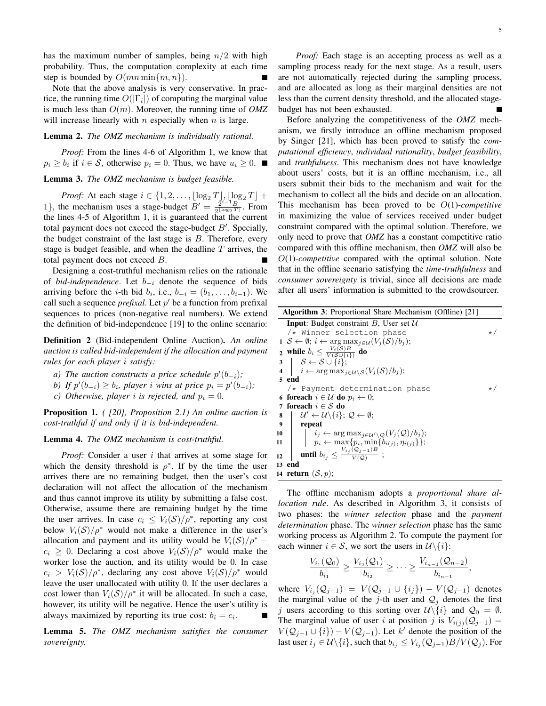has the maximum number of samples, being  $n/2$  with high probability. Thus, the computation complexity at each time step is bounded by  $O(mn \min\{m, n\})$ .

Note that the above analysis is very conservative. In practice, the running time  $O(|\Gamma_i|)$  of computing the marginal value is much less than  $O(m)$ . Moreover, the running time of *OMZ* will increase linearly with  $n$  especially when  $n$  is large.

## Lemma 2. *The OMZ mechanism is individually rational.*

*Proof:* From the lines 4-6 of Algorithm 1, we know that  $p_i \ge b_i$  if  $i \in S$ , otherwise  $p_i = 0$ . Thus, we have  $u_i \ge 0$ .

# Lemma 3. *The OMZ mechanism is budget feasible.*

*Proof:* At each stage  $i \in \{1, 2, \ldots, \lfloor \log_2 T \rfloor, \lfloor \log_2 T \rfloor + \lfloor \log_2 T \rfloor\}$ 1}, the mechanism uses a stage-budget  $B' = \frac{2^{i-1}B}{2^{\lfloor \log_2 T \rfloor}}$ . From the lines 4-5 of Algorithm 1, it is guaranteed that the current total payment does not exceed the stage-budget  $B'$ . Specially, the budget constraint of the last stage is  $B$ . Therefore, every stage is budget feasible, and when the deadline  $T$  arrives, the total payment does not exceed  $B$ .

Designing a cost-truthful mechanism relies on the rationale of *bid-independence*. Let  $b_{-i}$  denote the sequence of bids arriving before the *i*-th bid  $b_i$ , i.e.,  $b_{-i} = (b_1, \ldots, b_{i-1})$ . We call such a sequence *prefixal*. Let *′* be a function from prefixal sequences to prices (non-negative real numbers). We extend the definition of bid-independence [19] to the online scenario:

Definition 2 (Bid-independent Online Auction). *An online auction is called bid-independent if the allocation and payment rules for each player satisfy:*

- *a*) The auction constructs a price schedule  $p'(b_{-i})$ ;
- *b*) *If*  $p'(b_{-i}) \geq b_i$ , player *i* wins at price  $p_i = p'(b_{-i})$ ;
- *c*) *Otherwise, player i is rejected, and*  $p_i = 0$ *.*

Proposition 1. *( [20], Proposition 2.1) An online auction is cost-truthful if and only if it is bid-independent.*

#### Lemma 4. *The OMZ mechanism is cost-truthful.*

*Proof:* Consider a user *i* that arrives at some stage for which the density threshold is  $\rho^*$ . If by the time the user arrives there are no remaining budget, then the user's cost declaration will not affect the allocation of the mechanism and thus cannot improve its utility by submitting a false cost. Otherwise, assume there are remaining budget by the time the user arrives. In case  $c_i \leq V_i(\mathcal{S})/\rho^*$ , reporting any cost below  $V_i(\mathcal{S})/\rho^*$  would not make a difference in the user's allocation and payment and its utility would be  $V_i(\mathcal{S})/\rho^*$  –  $c_i \geq 0$ . Declaring a cost above  $V_i(\mathcal{S})/\rho^*$  would make the worker lose the auction, and its utility would be 0. In case  $c_i > V_i(\mathcal{S})/\rho^*$ , declaring any cost above  $V_i(\mathcal{S})/\rho^*$  would leave the user unallocated with utility 0. If the user declares a cost lower than  $V_i(\mathcal{S})/\rho^*$  it will be allocated. In such a case, however, its utility will be negative. Hence the user's utility is always maximized by reporting its true cost:  $b_i = c_i$ .

Lemma 5. *The OMZ mechanism satisfies the consumer sovereignty.*

*Proof:* Each stage is an accepting process as well as a sampling process ready for the next stage. As a result, users are not automatically rejected during the sampling process, and are allocated as long as their marginal densities are not less than the current density threshold, and the allocated stagebudget has not been exhausted.

Before analyzing the competitiveness of the *OMZ* mechanism, we firstly introduce an offline mechanism proposed by Singer [21], which has been proved to satisfy the *computational efficiency*, *individual rationality*, *budget feasibility*, and *truthfulness*. This mechanism does not have knowledge about users' costs, but it is an offline mechanism, i.e., all users submit their bids to the mechanism and wait for the mechanism to collect all the bids and decide on an allocation. This mechanism has been proved to be  $O(1)$ -*competitive* in maximizing the value of services received under budget constraint compared with the optimal solution. Therefore, we only need to prove that *OMZ* has a constant competitive ratio compared with this offline mechanism, then *OMZ* will also be  $O(1)$ -*competitive* compared with the optimal solution. Note that in the offline scenario satisfying the *time-truthfulness* and *consumer sovereignty* is trivial, since all decisions are made after all users' information is submitted to the crowdsourcer.

| <b>Algorithm 3:</b> Proportional Share Mechanism (Offline) [21] |                                                                                                                                                                                      |           |  |
|-----------------------------------------------------------------|--------------------------------------------------------------------------------------------------------------------------------------------------------------------------------------|-----------|--|
|                                                                 | <b>Input:</b> Budget constraint B, User set $U$                                                                                                                                      |           |  |
|                                                                 | /* Winner selection phase                                                                                                                                                            | $\star$ / |  |
|                                                                 | $1 \mathcal{S} \leftarrow \emptyset; i \leftarrow \arg \max_{i \in \mathcal{U}} (V_i(\mathcal{S})/b_i);$                                                                             |           |  |
|                                                                 | 2 while $b_i \leq \frac{V_i(\mathcal{S})B}{V(\mathcal{S} \cup \{i\})}$ do                                                                                                            |           |  |
|                                                                 |                                                                                                                                                                                      |           |  |
|                                                                 | 3 $\begin{array}{c} \mathcal{S} \leftarrow \mathcal{S} \cup \{i\}; \\ \mathcal{S} \leftarrow \arg\max_{j \in \mathcal{U} \setminus \mathcal{S}} (V_j(\mathcal{S})/b_j); \end{array}$ |           |  |
|                                                                 | 5 end                                                                                                                                                                                |           |  |
|                                                                 | /* Payment determination phase                                                                                                                                                       | $\star$ / |  |
|                                                                 | 6 foreach $i \in \mathcal{U}$ do $p_i \leftarrow 0$ ;                                                                                                                                |           |  |
|                                                                 | 7 foreach $i \in S$ do                                                                                                                                                               |           |  |
| 8                                                               | $\mathcal{U}' \leftarrow \mathcal{U} \backslash \{i\}; \mathcal{Q} \leftarrow \emptyset;$                                                                                            |           |  |
| $\boldsymbol{9}$                                                | repeat                                                                                                                                                                               |           |  |
|                                                                 | 10 $i_j \leftarrow \arg \max_{j \in \mathcal{U}' \setminus \mathcal{Q}} (V_j(\mathcal{Q})/b_j);$<br>11 $p_i \leftarrow \max\{p_i, \min\{b_{i(j)}, \eta_{i(j)}\}\};$                  |           |  |
|                                                                 |                                                                                                                                                                                      |           |  |
| 12                                                              | <b>until</b> $b_{i_j} \leq \frac{V_{i_j}(\mathcal{Q}_{j-1})B}{V(\Omega)}$ ;                                                                                                          |           |  |
|                                                                 | 13 end                                                                                                                                                                               |           |  |
|                                                                 | 14 return $(S, p)$ ;                                                                                                                                                                 |           |  |

The offline mechanism adopts a *proportional share allocation rule*. As described in Algorithm 3, it consists of two phases: the *winner selection* phase and the *payment determination* phase. The *winner selection* phase has the same working process as Algorithm 2. To compute the payment for each winner  $i \in S$ , we sort the users in  $\mathcal{U}\backslash\{i\}$ :

$$
\frac{V_{i_1}(\mathcal{Q}_0)}{b_{i_1}} \ge \frac{V_{i_2}(\mathcal{Q}_1)}{b_{i_2}} \ge \cdots \ge \frac{V_{i_{n-1}}(\mathcal{Q}_{n-2})}{b_{i_{n-1}}},
$$

where  $V_{i_j}(\mathcal{Q}_{j-1}) = V(\mathcal{Q}_{j-1} \cup \{i_j\}) - V(\mathcal{Q}_{j-1})$  denotes the marginal value of the j-th user and  $\mathcal{Q}_j$  denotes the first *j* users according to this sorting over  $\mathcal{U}\backslash\{i\}$  and  $\mathcal{Q}_0 = \emptyset$ . The marginal value of user *i* at position *j* is  $V_{i(j)}(Q_{j-1}) =$  $V(Q_{j-1} \cup \{i\}) - V(Q_{j-1})$ . Let *k'* denote the position of the last user  $i_j \in \mathcal{U} \backslash \{i\}$ , such that  $b_{i_j} \leq V_{i_j}(\mathcal{Q}_{j-1})B/V(\mathcal{Q}_j)$ . For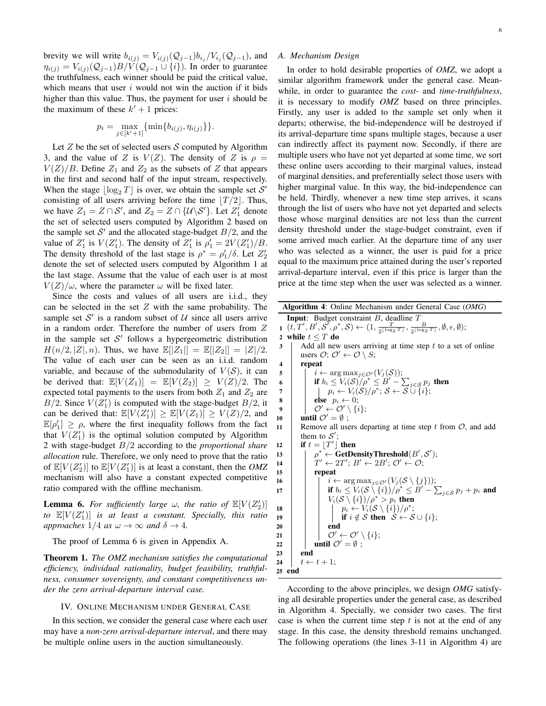*A. Mechanism Design*

brevity we will write  $b_{i(j)} = V_{i(j)}(Q_{j-1}) b_{i_j} / V_{i_j}(Q_{j-1})$ , and  $\eta_{i(j)} = V_{i(j)}(\mathcal{Q}_{j-1})B/V(\mathcal{Q}_{j-1} \cup \{i\})$ . In order to guarantee the truthfulness, each winner should be paid the critical value, which means that user  $i$  would not win the auction if it bids higher than this value. Thus, the payment for user  $i$  should be the maximum of these  $k' + 1$  prices:

$$
p_i = \max_{j \in [k'+1]} \{\min\{b_{i(j)}, \eta_{i(j)}\}\}.
$$

Let  $Z$  be the set of selected users  $S$  computed by Algorithm 3, and the value of Z is  $V(Z)$ . The density of Z is  $\rho =$  $V(Z)/B$ . Define  $Z_1$  and  $Z_2$  as the subsets of  $Z$  that appears in the first and second half of the input stream, respectively. When the stage  $\lfloor \log_2 T \rfloor$  is over, we obtain the sample set S' consisting of all users arriving before the time  $[T/2]$ . Thus, we have  $Z_1 = Z \cap S'$ , and  $Z_2 = Z \cap \{\mathcal{U} \backslash \mathcal{S}'\}$ . Let  $Z'_1$  denote the set of selected users computed by Algorithm 2 based on the sample set  $S'$  and the allocated stage-budget  $B/2$ , and the value of  $Z'_1$  is  $V(Z'_1)$ . The density of  $Z'_1$  is  $\rho'_1 = 2V(Z'_1)/B$ . The density threshold of the last stage is  $\rho^* = \rho'_1/\delta$ . Let  $Z'_2$ denote the set of selected users computed by Algorithm 1 at the last stage. Assume that the value of each user is at most  $V(Z)/\omega$ , where the parameter  $\omega$  will be fixed later.

Since the costs and values of all users are i.i.d., they can be selected in the set  $Z$  with the same probability. The sample set  $S'$  is a random subset of  $U$  since all users arrive in a random order. Therefore the number of users from  $Z$ in the sample set  $S'$  follows a hypergeometric distribution  $H(n/2, |Z|, n)$ . Thus, we have  $\mathbb{E}[|Z_1|] = \mathbb{E}[|Z_2|] = |Z|/2$ . The value of each user can be seen as an i.i.d. random variable, and because of the submodularity of  $V(S)$ , it can be derived that:  $\mathbb{E}[V(Z_1)] = \mathbb{E}[V(Z_2)] \ge V(Z)/2$ . The expected total payments to the users from both  $Z_1$  and  $Z_2$  are  $B/2$ . Since  $V(Z'_1)$  is computed with the stage-budget  $B/2$ , it can be derived that:  $\mathbb{E}[V(Z_1')] \geq \mathbb{E}[V(Z_1)] \geq V(Z)/2$ , and  $\mathbb{E}[\rho'_1] \geq \rho$ , where the first inequality follows from the fact that  $V(Z'_1)$  is the optimal solution computed by Algorithm 2 with stage-budget  $B/2$  according to the *proportional share allocation* rule. Therefore, we only need to prove that the ratio of  $\mathbb{E}[V(Z'_2)]$  to  $\mathbb{E}[V(Z'_1)]$  is at least a constant, then the *OMZ* mechanism will also have a constant expected competitive ratio compared with the offline mechanism.

**Lemma 6.** For sufficiently large  $\omega$ , the ratio of  $\mathbb{E}[V(Z_2')]$ to  $\mathbb{E}[V(Z_1')]$  is at least a constant. Specially, this ratio *approaches*  $1/4$  *as*  $\omega \rightarrow \infty$  *and*  $\delta \rightarrow 4$ *.* 

The proof of Lemma 6 is given in Appendix A.

Theorem 1. *The OMZ mechanism satisfies the computational efficiency, individual rationality, budget feasibility, truthfulness, consumer sovereignty, and constant competitiveness under the zero arrival-departure interval case.*

## IV. ONLINE MECHANISM UNDER GENERAL CASE

In this section, we consider the general case where each user may have a *non-zero arrival-departure interval*, and there may be multiple online users in the auction simultaneously.

In order to hold desirable properties of *OMZ*, we adopt a similar algorithm framework under the general case. Meanwhile, in order to guarantee the *cost-* and *time-truthfulness*, it is necessary to modify *OMZ* based on three principles. Firstly, any user is added to the sample set only when it departs; otherwise, the bid-independence will be destroyed if its arrival-departure time spans multiple stages, because a user can indirectly affect its payment now. Secondly, if there are multiple users who have not yet departed at some time, we sort these online users according to their marginal values, instead of marginal densities, and preferentially select those users with higher marginal value. In this way, the bid-independence can be held. Thirdly, whenever a new time step arrives, it scans through the list of users who have not yet departed and selects those whose marginal densities are not less than the current density threshold under the stage-budget constraint, even if some arrived much earlier. At the departure time of any user who was selected as a winner, the user is paid for a price equal to the maximum price attained during the user's reported arrival-departure interval, even if this price is larger than the price at the time step when the user was selected as a winner.

Algorithm 4: Online Mechanism under General Case (*OMG*) **Input**: Budget constraint  $B$ , deadline  $T$  $($ *t*,  $T', B', S', \rho^*, S) \leftarrow (1, \frac{T}{2^{\lfloor \log_2 T \rfloor}}, \frac{B}{2^{\lfloor \log_2 T \rfloor}}, \emptyset, \epsilon, \emptyset);$ 2 while  $t \leq T$  do  $3$  Add all new users arriving at time step t to a set of online users  $\mathcal{O}$ ;  $\mathcal{O}' \leftarrow \mathcal{O} \setminus S$ ; 4 repeat 5  $\vert \quad \vert \quad i \leftarrow \arg \max_{j \in \mathcal{O}'} (V_j(\mathcal{S}));$ 6  $\vert$  **if**  $b_i \leq V_i(\mathcal{S})/\rho^* \leq B' - \sum_{j \in \mathcal{S}} p_j$  then  $\begin{array}{ccc} \texttt{7} & | & | & p_i \leftarrow V_i(\mathcal{S})/\rho^*;\, \mathcal{S} \leftarrow \mathcal{S} \cup \{i\}; \end{array}$ 8 **else**  $p_i \leftarrow 0$ ;  $\emptyset$   $\emptyset$   $\emptyset' \leftarrow \mathcal{O}' \setminus \{i\};$ 10  $\vert$  until  $\mathcal{O}' = \emptyset$ ; 11 Remove all users departing at time step  $t$  from  $\mathcal{O}$ , and add them to  $S'$ ;  $\textbf{12}$  **d** if  $t = |T'|$  then 13  $\vert \quad \vert \quad \rho^* \leftarrow \textbf{GetDensityThreshold}(B', S');$  $\begin{array}{c} \n\mathbf{14} \quad | \quad T' \leftarrow 2T'; \, B' \leftarrow 2B'; \, \mathcal{O}' \leftarrow \mathcal{O}; \n\end{array}$ 15 repeat 16  $\vert \vert \vert \vert i \leftarrow \arg \max_{j \in \mathcal{O}'} (V_j(\mathcal{S} \setminus \{j\}));$  $\textbf{if } b_i \leq V_i(\mathcal{S} \setminus \{i\})/\rho^* \leq B' - \sum_{j \in \mathcal{S}} p_j + p_i \text{ and }$  $V_i(S \setminus \{i\})/\rho^* > p_i$  then  $\begin{array}{|c|c|c|c|c|}\n\hline\n\text{18} & & \text{if } & p_i \leftarrow V_i(\mathcal{S} \setminus \{i\})/\rho^*; \end{array}$ 19 | | | if  $i \notin S$  then  $S \leftarrow S \cup \{i\};$  $20$  | | | end  $\mathcal{O}'\leftarrow \mathcal{O}'\setminus\{i\};$ 22  $\vert$  **until**  $\mathcal{O}' = \emptyset$ ; 23 end 24  $\vert t \leftarrow t+1;$ 25 end

According to the above principles, we design *OMG* satisfying all desirable properties under the general case, as described in Algorithm 4. Specially, we consider two cases. The first case is when the current time step  $t$  is not at the end of any stage. In this case, the density threshold remains unchanged. The following operations (the lines 3-11 in Algorithm 4) are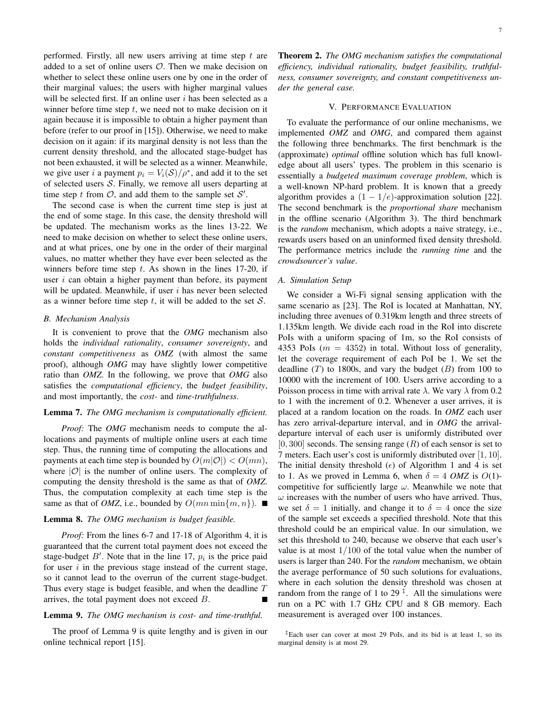performed. Firstly, all new users arriving at time step  $t$  are added to a set of online users  $O$ . Then we make decision on whether to select these online users one by one in the order of their marginal values; the users with higher marginal values will be selected first. If an online user  $i$  has been selected as a winner before time step  $t$ , we need not to make decision on it again because it is impossible to obtain a higher payment than before (refer to our proof in [15]). Otherwise, we need to make decision on it again: if its marginal density is not less than the current density threshold, and the allocated stage-budget has not been exhausted, it will be selected as a winner. Meanwhile, we give user *i* a payment  $p_i = V_i(\mathcal{S})/\rho^*$ , and add it to the set of selected users  $S$ . Finally, we remove all users departing at time step  $t$  from  $\mathcal{O}$ , and add them to the sample set  $\mathcal{S}'$ .

The second case is when the current time step is just at the end of some stage. In this case, the density threshold will be updated. The mechanism works as the lines 13-22. We need to make decision on whether to select these online users, and at what prices, one by one in the order of their marginal values, no matter whether they have ever been selected as the winners before time step  $t$ . As shown in the lines 17-20, if user  $i$  can obtain a higher payment than before, its payment will be updated. Meanwhile, if user  $i$  has never been selected as a winner before time step  $t$ , it will be added to the set  $S$ .

#### *B. Mechanism Analysis*

It is convenient to prove that the *OMG* mechanism also holds the *individual rationality*, *consumer sovereignty*, and *constant competitiveness* as *OMZ* (with almost the same proof), although *OMG* may have slightly lower competitive ratio than *OMZ*. In the following, we prove that *OMG* also satisfies the *computational efficiency*, the *budget feasibility*, and most importantly, the *cost-* and *time-truthfulness*.

## Lemma 7. *The OMG mechanism is computationally efficient.*

*Proof:* The *OMG* mechanism needs to compute the allocations and payments of multiple online users at each time step. Thus, the running time of computing the allocations and payments at each time step is bounded by  $O(m|\mathcal{O}|) < O(mn)$ , where *|O*| is the number of online users. The complexity of computing the density threshold is the same as that of *OMZ*. Thus, the computation complexity at each time step is the same as that of *OMZ*, i.e., bounded by  $O(mn \min\{m, n\})$ .

## Lemma 8. *The OMG mechanism is budget feasible.*

*Proof:* From the lines 6-7 and 17-18 of Algorithm 4, it is guaranteed that the current total payment does not exceed the stage-budget  $B'$ . Note that in the line 17,  $p_i$  is the price paid for user  $i$  in the previous stage instead of the current stage, so it cannot lead to the overrun of the current stage-budget. Thus every stage is budget feasible, and when the deadline  $T$ arrives, the total payment does not exceed  $B$ .

## Lemma 9. *The OMG mechanism is cost- and time-truthful.*

The proof of Lemma 9 is quite lengthy and is given in our online technical report [15].

Theorem 2. *The OMG mechanism satisfies the computational efficiency, individual rationality, budget feasibility, truthfulness, consumer sovereignty, and constant competitiveness under the general case.*

# V. PERFORMANCE EVALUATION

To evaluate the performance of our online mechanisms, we implemented *OMZ* and *OMG*, and compared them against the following three benchmarks. The first benchmark is the (approximate) *optimal* offline solution which has full knowledge about all users' types. The problem in this scenario is essentially a *budgeted maximum coverage problem*, which is a well-known NP-hard problem. It is known that a greedy algorithm provides a  $(1 - 1/e)$ -approximation solution [22]. The second benchmark is the *proportional share* mechanism in the offline scenario (Algorithm 3). The third benchmark is the *random* mechanism, which adopts a naive strategy, i.e., rewards users based on an uninformed fixed density threshold. The performance metrics include the *running time* and the *crowdsourcer's value*.

## *A. Simulation Setup*

We consider a Wi-Fi signal sensing application with the same scenario as [23]. The RoI is located at Manhattan, NY, including three avenues of 0.319km length and three streets of 1.135km length. We divide each road in the RoI into discrete PoIs with a uniform spacing of 1m, so the RoI consists of 4353 PoIs ( $m = 4352$ ) in total. Without loss of generality, let the coverage requirement of each PoI be 1. We set the deadline  $(T)$  to 1800s, and vary the budget  $(B)$  from 100 to 10000 with the increment of 100. Users arrive according to a Poisson process in time with arrival rate  $\lambda$ . We vary  $\lambda$  from 0.2 to 1 with the increment of 0.2. Whenever a user arrives, it is placed at a random location on the roads. In *OMZ* each user has zero arrival-departure interval, and in *OMG* the arrivaldeparture interval of each user is uniformly distributed over  $[0, 300]$  seconds. The sensing range  $(R)$  of each sensor is set to 7 meters. Each user's cost is uniformly distributed over [1*,* 10]. The initial density threshold  $(\epsilon)$  of Algorithm 1 and 4 is set to 1. As we proved in Lemma 6, when  $\delta = 4$  *OMZ* is  $O(1)$ competitive for sufficiently large  $\omega$ . Meanwhile we note that  $\omega$  increases with the number of users who have arrived. Thus, we set  $\delta = 1$  initially, and change it to  $\delta = 4$  once the size of the sample set exceeds a specified threshold. Note that this threshold could be an empirical value. In our simulation, we set this threshold to 240, because we observe that each user's value is at most 1*/*100 of the total value when the number of users is larger than 240. For the *random* mechanism, we obtain the average performance of 50 such solutions for evaluations, where in each solution the density threshold was chosen at random from the range of 1 to 29 *‡* . All the simulations were run on a PC with 1.7 GHz CPU and 8 GB memory. Each measurement is averaged over 100 instances.

*<sup>‡</sup>*Each user can cover at most 29 PoIs, and its bid is at least 1, so its marginal density is at most 29.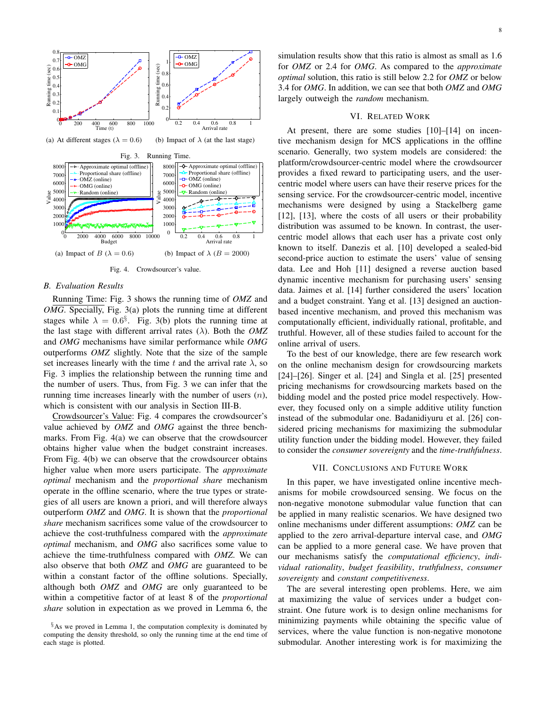

Fig. 4. Crowdsourcer's value.

#### *B. Evaluation Results*

Running Time: Fig. 3 shows the running time of *OMZ* and *OMG*. Specially, Fig. 3(a) plots the running time at different stages while  $\lambda = 0.6^{\circ}$ . Fig. 3(b) plots the running time at the last stage with different arrival rates  $(\lambda)$ . Both the *OMZ* and *OMG* mechanisms have similar performance while *OMG* outperforms *OMZ* slightly. Note that the size of the sample set increases linearly with the time t and the arrival rate  $\lambda$ , so Fig. 3 implies the relationship between the running time and the number of users. Thus, from Fig. 3 we can infer that the running time increases linearly with the number of users  $(n)$ , which is consistent with our analysis in Section III-B.

Crowdsourcer's Value: Fig. 4 compares the crowdsourcer's value achieved by *OMZ* and *OMG* against the three benchmarks. From Fig. 4(a) we can observe that the crowdsourcer obtains higher value when the budget constraint increases. From Fig. 4(b) we can observe that the crowdsourcer obtains higher value when more users participate. The *approximate optimal* mechanism and the *proportional share* mechanism operate in the offline scenario, where the true types or strategies of all users are known a priori, and will therefore always outperform *OMZ* and *OMG*. It is shown that the *proportional share* mechanism sacrifices some value of the crowdsourcer to achieve the cost-truthfulness compared with the *approximate optimal* mechanism, and *OMG* also sacrifices some value to achieve the time-truthfulness compared with *OMZ*. We can also observe that both *OMZ* and *OMG* are guaranteed to be within a constant factor of the offline solutions. Specially, although both *OMZ* and *OMG* are only guaranteed to be within a competitive factor of at least 8 of the *proportional share* solution in expectation as we proved in Lemma 6, the

simulation results show that this ratio is almost as small as 1.6 for *OMZ* or 2.4 for *OMG*. As compared to the *approximate optimal* solution, this ratio is still below 2.2 for *OMZ* or below 3.4 for *OMG*. In addition, we can see that both *OMZ* and *OMG* largely outweigh the *random* mechanism.

#### VI. RELATED WORK

At present, there are some studies [10]–[14] on incentive mechanism design for MCS applications in the offline scenario. Generally, two system models are considered: the platform/crowdsourcer-centric model where the crowdsourcer provides a fixed reward to participating users, and the usercentric model where users can have their reserve prices for the sensing service. For the crowdsourcer-centric model, incentive mechanisms were designed by using a Stackelberg game [12], [13], where the costs of all users or their probability distribution was assumed to be known. In contrast, the usercentric model allows that each user has a private cost only known to itself. Danezis et al. [10] developed a sealed-bid second-price auction to estimate the users' value of sensing data. Lee and Hoh [11] designed a reverse auction based dynamic incentive mechanism for purchasing users' sensing data. Jaimes et al. [14] further considered the users' location and a budget constraint. Yang et al. [13] designed an auctionbased incentive mechanism, and proved this mechanism was computationally efficient, individually rational, profitable, and truthful. However, all of these studies failed to account for the online arrival of users.

To the best of our knowledge, there are few research work on the online mechanism design for crowdsourcing markets [24]–[26]. Singer et al. [24] and Singla et al. [25] presented pricing mechanisms for crowdsourcing markets based on the bidding model and the posted price model respectively. However, they focused only on a simple additive utility function instead of the submodular one. Badanidiyuru et al. [26] considered pricing mechanisms for maximizing the submodular utility function under the bidding model. However, they failed to consider the *consumer sovereignty* and the *time-truthfulness*.

# VII. CONCLUSIONS AND FUTURE WORK

In this paper, we have investigated online incentive mechanisms for mobile crowdsourced sensing. We focus on the non-negative monotone submodular value function that can be applied in many realistic scenarios. We have designed two online mechanisms under different assumptions: *OMZ* can be applied to the zero arrival-departure interval case, and *OMG* can be applied to a more general case. We have proven that our mechanisms satisfy the *computational efficiency*, *individual rationality*, *budget feasibility*, *truthfulness*, *consumer sovereignty* and *constant competitiveness*.

The are several interesting open problems. Here, we aim at maximizing the value of services under a budget constraint. One future work is to design online mechanisms for minimizing payments while obtaining the specific value of services, where the value function is non-negative monotone submodular. Another interesting work is for maximizing the

*<sup>§</sup>*As we proved in Lemma 1, the computation complexity is dominated by computing the density threshold, so only the running time at the end time of each stage is plotted.